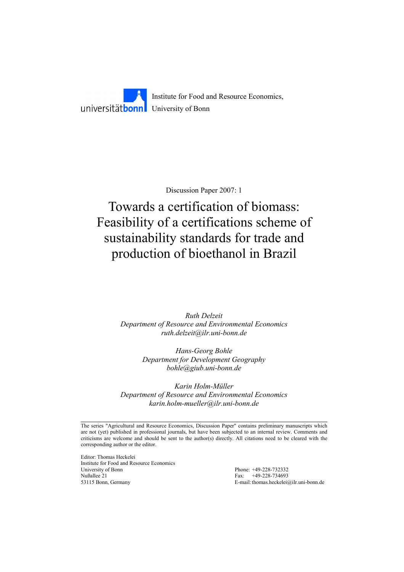Institute for Food and Resource Economics, universität**bonn** University of Bonn

Discussion Paper 2007: 1

# Towards a certification of biomass: Feasibility of a certifications scheme of sustainability standards for trade and production of bioethanol in Brazil

*Ruth Delzeit Department of Resource and Environmental Economics ruth.delzeit@ilr.uni-bonn.de* 

> *Hans-Georg Bohle Department for Development Geography bohle@giub.uni-bonn.de*

*Karin Holm-Müller Department of Resource and Environmental Economics karin.holm-mueller@ilr.uni-bonn.de* 

The series "Agricultural and Resource Economics, Discussion Paper" contains preliminary manuscripts which are not (yet) published in professional journals, but have been subjected to an internal review. Comments and criticisms are welcome and should be sent to the author(s) directly. All citations need to be cleared with the corresponding author or the editor.

Editor: Thomas Heckelei Institute for Food and Resource Economics University of Bonn Phone: +49-228-732332 Nußallee 21 Fax: +49-228-734693 53115 Bonn, Germany E-mail: thomas.heckelei@ilr.uni-bonn.de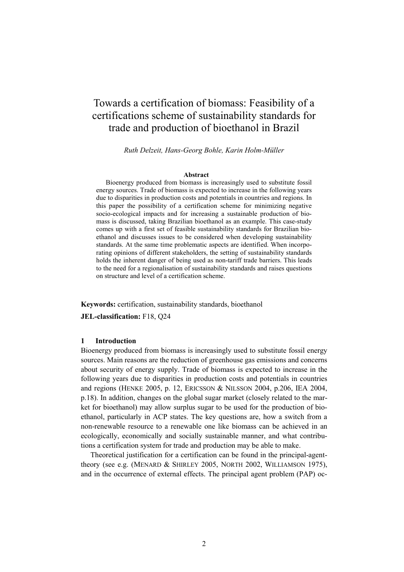# Towards a certification of biomass: Feasibility of a certifications scheme of sustainability standards for trade and production of bioethanol in Brazil

*Ruth Delzeit, Hans-Georg Bohle, Karin Holm-Müller* 

#### **Abstract**

Bioenergy produced from biomass is increasingly used to substitute fossil energy sources. Trade of biomass is expected to increase in the following years due to disparities in production costs and potentials in countries and regions. In this paper the possibility of a certification scheme for minimizing negative socio-ecological impacts and for increasing a sustainable production of biomass is discussed, taking Brazilian bioethanol as an example. This case-study comes up with a first set of feasible sustainability standards for Brazilian bioethanol and discusses issues to be considered when developing sustainability standards. At the same time problematic aspects are identified. When incorporating opinions of different stakeholders, the setting of sustainability standards holds the inherent danger of being used as non-tariff trade barriers. This leads to the need for a regionalisation of sustainability standards and raises questions on structure and level of a certification scheme.

**Keywords:** certification, sustainability standards, bioethanol

**JEL-classification:** F18, Q24

# **1 Introduction**

Bioenergy produced from biomass is increasingly used to substitute fossil energy sources. Main reasons are the reduction of greenhouse gas emissions and concerns about security of energy supply. Trade of biomass is expected to increase in the following years due to disparities in production costs and potentials in countries and regions (HENKE 2005, p. 12, ERICSSON & NILSSON 2004, p.206, IEA 2004, p.18). In addition, changes on the global sugar market (closely related to the market for bioethanol) may allow surplus sugar to be used for the production of bioethanol, particularly in ACP states. The key questions are, how a switch from a non-renewable resource to a renewable one like biomass can be achieved in an ecologically, economically and socially sustainable manner, and what contributions a certification system for trade and production may be able to make.

Theoretical justification for a certification can be found in the principal-agenttheory (see e.g. (MENARD & SHIRLEY 2005, NORTH 2002, WILLIAMSON 1975), and in the occurrence of external effects. The principal agent problem (PAP) oc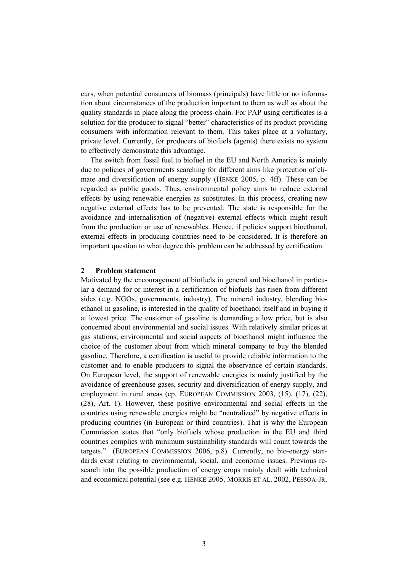curs, when potential consumers of biomass (principals) have little or no information about circumstances of the production important to them as well as about the quality standards in place along the process-chain. For PAP using certificates is a solution for the producer to signal "better" characteristics of its product providing consumers with information relevant to them. This takes place at a voluntary, private level. Currently, for producers of biofuels (agents) there exists no system to effectively demonstrate this advantage.

The switch from fossil fuel to biofuel in the EU and North America is mainly due to policies of governments searching for different aims like protection of climate and diversification of energy supply (HENKE 2005, p. 4ff). These can be regarded as public goods. Thus, environmental policy aims to reduce external effects by using renewable energies as substitutes. In this process, creating new negative external effects has to be prevented. The state is responsible for the avoidance and internalisation of (negative) external effects which might result from the production or use of renewables. Hence, if policies support bioethanol, external effects in producing countries need to be considered. It is therefore an important question to what degree this problem can be addressed by certification.

#### **2 Problem statement**

Motivated by the encouragement of biofuels in general and bioethanol in particular a demand for or interest in a certification of biofuels has risen from different sides (e.g. NGOs, governments, industry). The mineral industry, blending bioethanol in gasoline, is interested in the quality of bioethanol itself and in buying it at lowest price. The customer of gasoline is demanding a low price, but is also concerned about environmental and social issues. With relatively similar prices at gas stations, environmental and social aspects of bioethanol might influence the choice of the customer about from which mineral company to buy the blended gasoline. Therefore, a certification is useful to provide reliable information to the customer and to enable producers to signal the observance of certain standards. On European level, the support of renewable energies is mainly justified by the avoidance of greenhouse gases, security and diversification of energy supply, and employment in rural areas (cp. EUROPEAN COMMISSION 2003, (15), (17), (22), (28), Art. 1). However, these positive environmental and social effects in the countries using renewable energies might be "neutralized" by negative effects in producing countries (in European or third countries). That is why the European Commission states that "only biofuels whose production in the EU and third countries complies with minimum sustainability standards will count towards the targets." (EUROPEAN COMMISSION 2006, p.8). Currently, no bio-energy standards exist relating to environmental, social, and economic issues. Previous research into the possible production of energy crops mainly dealt with technical and economical potential (see e.g. HENKE 2005, MORRIS ET AL. 2002, PESSOA-JR.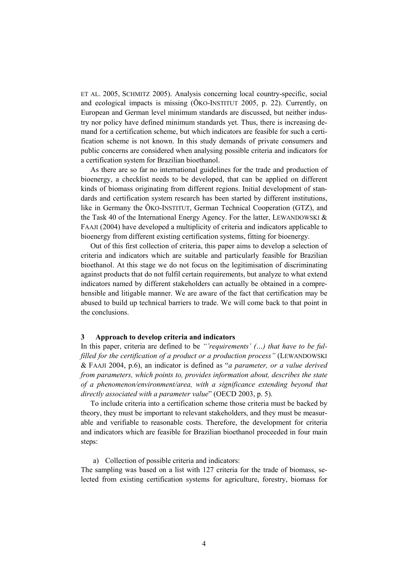ET AL. 2005, SCHMITZ 2005). Analysis concerning local country-specific, social and ecological impacts is missing (ÖKO-INSTITUT 2005, p. 22). Currently, on European and German level minimum standards are discussed, but neither industry nor policy have defined minimum standards yet. Thus, there is increasing demand for a certification scheme, but which indicators are feasible for such a certification scheme is not known. In this study demands of private consumers and public concerns are considered when analysing possible criteria and indicators for a certification system for Brazilian bioethanol.

As there are so far no international guidelines for the trade and production of bioenergy, a checklist needs to be developed, that can be applied on different kinds of biomass originating from different regions. Initial development of standards and certification system research has been started by different institutions, like in Germany the ÖKO-INSTITUT, German Technical Cooperation (GTZ), and the Task 40 of the International Energy Agency. For the latter, LEWANDOWSKI & FAAJI (2004) have developed a multiplicity of criteria and indicators applicable to bioenergy from different existing certification systems, fitting for bioenergy.

Out of this first collection of criteria, this paper aims to develop a selection of criteria and indicators which are suitable and particularly feasible for Brazilian bioethanol. At this stage we do not focus on the legitimisation of discriminating against products that do not fulfil certain requirements, but analyze to what extend indicators named by different stakeholders can actually be obtained in a comprehensible and litigable manner. We are aware of the fact that certification may be abused to build up technical barriers to trade. We will come back to that point in the conclusions.

#### **3 Approach to develop criteria and indicators**

In this paper, criteria are defined to be *"'requirements' (…) that have to be fulfilled for the certification of a product or a production process"* (LEWANDOWSKI & FAAJI 2004, p.6), an indicator is defined as "*a parameter, or a value derived from parameters, which points to, provides information about, describes the state of a phenomenon/environment/area, with a significance extending beyond that directly associated with a parameter value*" (OECD 2003, p. 5).

To include criteria into a certification scheme those criteria must be backed by theory, they must be important to relevant stakeholders, and they must be measurable and verifiable to reasonable costs. Therefore, the development for criteria and indicators which are feasible for Brazilian bioethanol proceeded in four main steps:

a) Collection of possible criteria and indicators:

The sampling was based on a list with 127 criteria for the trade of biomass, selected from existing certification systems for agriculture, forestry, biomass for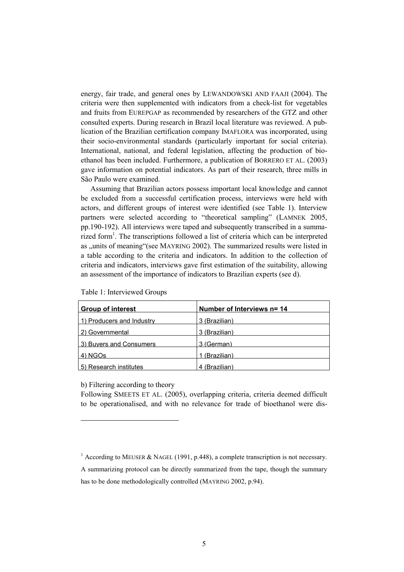energy, fair trade, and general ones by LEWANDOWSKI AND FAAJI (2004). The criteria were then supplemented with indicators from a check-list for vegetables and fruits from EUREPGAP as recommended by researchers of the GTZ and other consulted experts. During research in Brazil local literature was reviewed. A publication of the Brazilian certification company IMAFLORA was incorporated, using their socio-environmental standards (particularly important for social criteria). International, national, and federal legislation, affecting the production of bioethanol has been included. Furthermore, a publication of BORRERO ET AL. (2003) gave information on potential indicators. As part of their research, three mills in São Paulo were examined.

Assuming that Brazilian actors possess important local knowledge and cannot be excluded from a successful certification process, interviews were held with actors, and different groups of interest were identified (see Table 1). Interview partners were selected according to "theoretical sampling" (LAMNEK 2005, pp.190-192). All interviews were taped and subsequently transcribed in a summarized form<sup>1</sup>. The transcriptions followed a list of criteria which can be interpreted as "units of meaning"(see MAYRING 2002). The summarized results were listed in a table according to the criteria and indicators. In addition to the collection of criteria and indicators, interviews gave first estimation of the suitability, allowing an assessment of the importance of indicators to Brazilian experts (see d).

| <b>Group of interest</b>  | Number of Interviews n= 14 |
|---------------------------|----------------------------|
| 1) Producers and Industry | 3 (Brazilian)              |
| 2) Governmental           | 3 (Brazilian)              |
| 3) Buyers and Consumers   | 3 (German)                 |
| 4) NGOS                   | (Brazilian)                |
| 5) Research institutes    | 4 (Brazilian)              |

Table 1: Interviewed Groups

# b) Filtering according to theory

 $\overline{a}$ 

Following SMEETS ET AL. (2005), overlapping criteria, criteria deemed difficult to be operationalised, and with no relevance for trade of bioethanol were dis-

<sup>&</sup>lt;sup>1</sup> According to MEUSER & NAGEL (1991, p.448), a complete transcription is not necessary.

A summarizing protocol can be directly summarized from the tape, though the summary has to be done methodologically controlled (MAYRING 2002, p.94).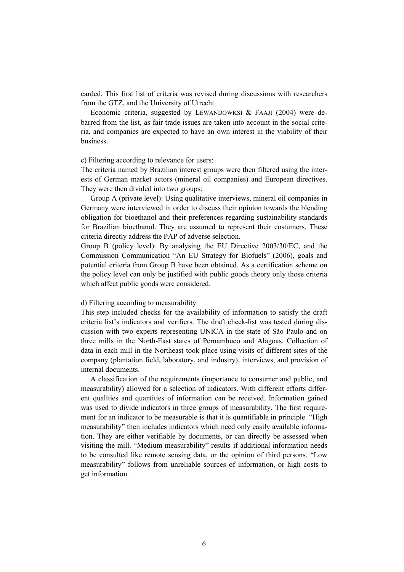carded. This first list of criteria was revised during discussions with researchers from the GTZ, and the University of Utrecht.

Economic criteria, suggested by LEWANDOWKSI & FAAJI (2004) were debarred from the list, as fair trade issues are taken into account in the social criteria, and companies are expected to have an own interest in the viability of their business.

#### c) Filtering according to relevance for users:

The criteria named by Brazilian interest groups were then filtered using the interests of German market actors (mineral oil companies) and European directives. They were then divided into two groups:

Group A (private level): Using qualitative interviews, mineral oil companies in Germany were interviewed in order to discuss their opinion towards the blending obligation for bioethanol and their preferences regarding sustainability standards for Brazilian bioethanol. They are assumed to represent their costumers. These criteria directly address the PAP of adverse selection.

Group B (policy level): By analysing the EU Directive 2003/30/EC, and the Commission Communication "An EU Strategy for Biofuels" (2006), goals and potential criteria from Group B have been obtained. As a certification scheme on the policy level can only be justified with public goods theory only those criteria which affect public goods were considered.

#### d) Filtering according to measurability

This step included checks for the availability of information to satisfy the draft criteria list's indicators and verifiers. The draft check-list was tested during discussion with two experts representing UNICA in the state of São Paulo and on three mills in the North-East states of Pernambuco and Alagoas. Collection of data in each mill in the Northeast took place using visits of different sites of the company (plantation field, laboratory, and industry), interviews, and provision of internal documents.

A classification of the requirements (importance to consumer and public, and measurability) allowed for a selection of indicators. With different efforts different qualities and quantities of information can be received. Information gained was used to divide indicators in three groups of measurability. The first requirement for an indicator to be measurable is that it is quantifiable in principle. "High measurability" then includes indicators which need only easily available information. They are either verifiable by documents, or can directly be assessed when visiting the mill. "Medium measurability" results if additional information needs to be consulted like remote sensing data, or the opinion of third persons. "Low measurability" follows from unreliable sources of information, or high costs to get information.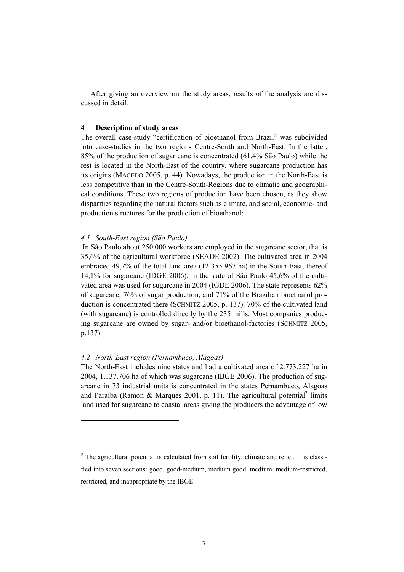After giving an overview on the study areas, results of the analysis are discussed in detail.

#### **4 Description of study areas**

The overall case-study "certification of bioethanol from Brazil" was subdivided into case-studies in the two regions Centre-South and North-East. In the latter, 85% of the production of sugar cane is concentrated (61,4% São Paulo) while the rest is located in the North-East of the country, where sugarcane production has its origins (MACEDO 2005, p. 44). Nowadays, the production in the North-East is less competitive than in the Centre-South-Regions due to climatic and geographical conditions. These two regions of production have been chosen, as they show disparities regarding the natural factors such as climate, and social, economic- and production structures for the production of bioethanol:

## *4.1 South-East region (São Paulo)*

 In São Paulo about 250.000 workers are employed in the sugarcane sector, that is 35,6% of the agricultural workforce (SEADE 2002). The cultivated area in 2004 embraced 49,7% of the total land area (12 355 967 ha) in the South-East, thereof 14,1% for sugarcane (IDGE 2006). In the state of São Paulo 45,6% of the cultivated area was used for sugarcane in 2004 (IGDE 2006). The state represents 62% of sugarcane, 76% of sugar production, and 71% of the Brazilian bioethanol production is concentrated there (SCHMITZ 2005, p. 137). 70% of the cultivated land (with sugarcane) is controlled directly by the 235 mills. Most companies producing sugarcane are owned by sugar- and/or bioethanol-factories (SCHMITZ 2005, p.137).

# *4.2 North-East region (Pernambuco, Alagoas)*

 $\overline{a}$ 

The North-East includes nine states and had a cultivated area of 2.773.227 ha in 2004, 1.137.706 ha of which was sugarcane (IBGE 2006). The production of sugarcane in 73 industrial units is concentrated in the states Pernambuco, Alagoas and Paraíba (Ramon & Marques 2001, p. 11). The agricultural potential<sup>2</sup> limits land used for sugarcane to coastal areas giving the producers the advantage of low

 $2$  The agricultural potential is calculated from soil fertility, climate and relief. It is classi-

fied into seven sections: good, good-medium, medium good, medium, medium-restricted, restricted, and inappropriate by the IBGE.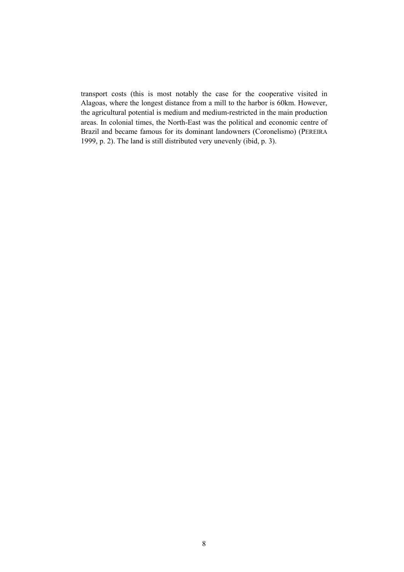transport costs (this is most notably the case for the cooperative visited in Alagoas, where the longest distance from a mill to the harbor is 60km. However, the agricultural potential is medium and medium-restricted in the main production areas. In colonial times, the North-East was the political and economic centre of Brazil and became famous for its dominant landowners (Coronelismo) (PEREIRA 1999, p. 2). The land is still distributed very unevenly (ibid, p. 3).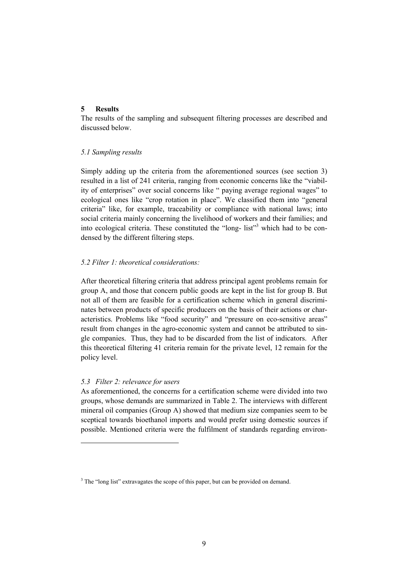# **5 Results**

The results of the sampling and subsequent filtering processes are described and discussed below.

# *5.1 Sampling results*

Simply adding up the criteria from the aforementioned sources (see section 3) resulted in a list of 241 criteria, ranging from economic concerns like the "viability of enterprises" over social concerns like " paying average regional wages" to ecological ones like "crop rotation in place". We classified them into "general criteria" like, for example, traceability or compliance with national laws; into social criteria mainly concerning the livelihood of workers and their families; and into ecological criteria. These constituted the "long- list"<sup>3</sup> which had to be condensed by the different filtering steps.

# *5.2 Filter 1: theoretical considerations:*

After theoretical filtering criteria that address principal agent problems remain for group A, and those that concern public goods are kept in the list for group B. But not all of them are feasible for a certification scheme which in general discriminates between products of specific producers on the basis of their actions or characteristics. Problems like "food security" and "pressure on eco-sensitive areas" result from changes in the agro-economic system and cannot be attributed to single companies. Thus, they had to be discarded from the list of indicators. After this theoretical filtering 41 criteria remain for the private level, 12 remain for the policy level.

# *5.3 Filter 2: relevance for users*

 $\overline{a}$ 

As aforementioned, the concerns for a certification scheme were divided into two groups, whose demands are summarized in Table 2. The interviews with different mineral oil companies (Group A) showed that medium size companies seem to be sceptical towards bioethanol imports and would prefer using domestic sources if possible. Mentioned criteria were the fulfilment of standards regarding environ-

 $3$  The "long list" extravagates the scope of this paper, but can be provided on demand.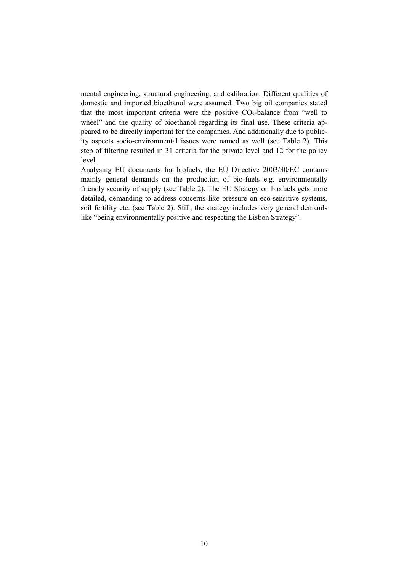mental engineering, structural engineering, and calibration. Different qualities of domestic and imported bioethanol were assumed. Two big oil companies stated that the most important criteria were the positive  $CO<sub>2</sub>$ -balance from "well to wheel" and the quality of bioethanol regarding its final use. These criteria appeared to be directly important for the companies. And additionally due to publicity aspects socio-environmental issues were named as well (see Table 2). This step of filtering resulted in 31 criteria for the private level and 12 for the policy level.

Analysing EU documents for biofuels, the EU Directive 2003/30/EC contains mainly general demands on the production of bio-fuels e.g. environmentally friendly security of supply (see Table 2). The EU Strategy on biofuels gets more detailed, demanding to address concerns like pressure on eco-sensitive systems, soil fertility etc. (see Table 2). Still, the strategy includes very general demands like "being environmentally positive and respecting the Lisbon Strategy".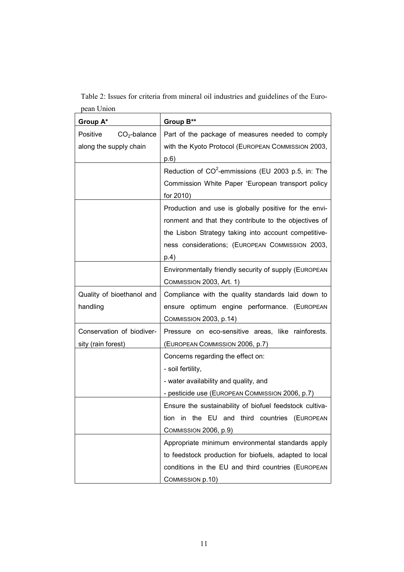Table 2: Issues for criteria from mineral oil industries and guidelines of the European Union

| Group A*                   | Group B**                                               |
|----------------------------|---------------------------------------------------------|
| Positive<br>$CO2$ -balance | Part of the package of measures needed to comply        |
| along the supply chain     | with the Kyoto Protocol (EUROPEAN COMMISSION 2003,      |
|                            | p.6)                                                    |
|                            | Reduction of $CO^2$ -emmissions (EU 2003 p.5, in: The   |
|                            | Commission White Paper 'European transport policy       |
|                            | for 2010)                                               |
|                            | Production and use is globally positive for the envi-   |
|                            | ronment and that they contribute to the objectives of   |
|                            | the Lisbon Strategy taking into account competitive-    |
|                            | ness considerations; (EUROPEAN COMMISSION 2003,         |
|                            | p.4)                                                    |
|                            | Environmentally friendly security of supply (EUROPEAN   |
|                            | COMMISSION 2003, Art. 1)                                |
| Quality of bioethanol and  | Compliance with the quality standards laid down to      |
| handling                   | ensure optimum engine performance. (EUROPEAN            |
|                            | <b>COMMISSION 2003, p.14)</b>                           |
| Conservation of biodiver-  | Pressure on eco-sensitive areas, like rainforests.      |
| sity (rain forest)         | (EUROPEAN COMMISSION 2006, p.7)                         |
|                            | Concerns regarding the effect on:                       |
|                            | - soil fertility,                                       |
|                            | - water availability and quality, and                   |
|                            | - pesticide use (EUROPEAN COMMISSION 2006, p.7)         |
|                            | Ensure the sustainability of biofuel feedstock cultiva- |
|                            | tion in the EU and third countries (EUROPEAN            |
|                            | COMMISSION 2006, p.9)                                   |
|                            | Appropriate minimum environmental standards apply       |
|                            | to feedstock production for biofuels, adapted to local  |
|                            | conditions in the EU and third countries (EUROPEAN      |
|                            | COMMISSION p.10)                                        |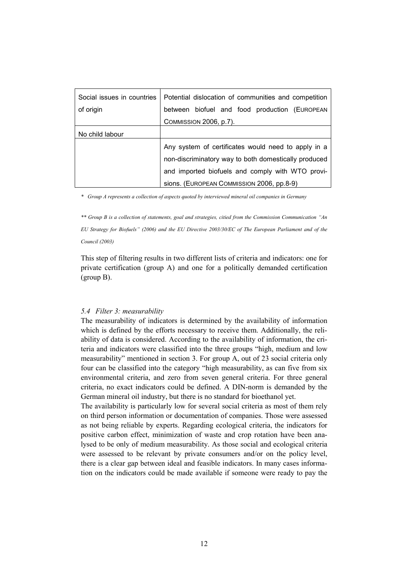| Social issues in countries | Potential dislocation of communities and competition |
|----------------------------|------------------------------------------------------|
| of origin                  | between biofuel and food production (EUROPEAN        |
|                            | <b>COMMISSION 2006, p.7).</b>                        |
| No child labour            |                                                      |
|                            | Any system of certificates would need to apply in a  |
|                            | non-discriminatory way to both domestically produced |
|                            | and imported biofuels and comply with WTO provi-     |
|                            | sions. (EUROPEAN COMMISSION 2006, pp.8-9)            |

*\* Group A represents a collection of aspects quoted by interviewed mineral oil companies in Germany* 

*\*\* Group B is a collection of statements, goal and strategies, citied from the Commission Communication "An EU Strategy for Biofuels" (2006) and the EU Directive 2003/30/EC of The European Parliament and of the Council (2003)* 

This step of filtering results in two different lists of criteria and indicators: one for private certification (group A) and one for a politically demanded certification (group B).

# *5.4 Filter 3: measurability*

The measurability of indicators is determined by the availability of information which is defined by the efforts necessary to receive them. Additionally, the reliability of data is considered. According to the availability of information, the criteria and indicators were classified into the three groups "high, medium and low measurability" mentioned in section 3. For group A, out of 23 social criteria only four can be classified into the category "high measurability, as can five from six environmental criteria, and zero from seven general criteria. For three general criteria, no exact indicators could be defined. A DIN-norm is demanded by the German mineral oil industry, but there is no standard for bioethanol yet.

The availability is particularly low for several social criteria as most of them rely on third person information or documentation of companies. Those were assessed as not being reliable by experts. Regarding ecological criteria, the indicators for positive carbon effect, minimization of waste and crop rotation have been analysed to be only of medium measurability. As those social and ecological criteria were assessed to be relevant by private consumers and/or on the policy level, there is a clear gap between ideal and feasible indicators. In many cases information on the indicators could be made available if someone were ready to pay the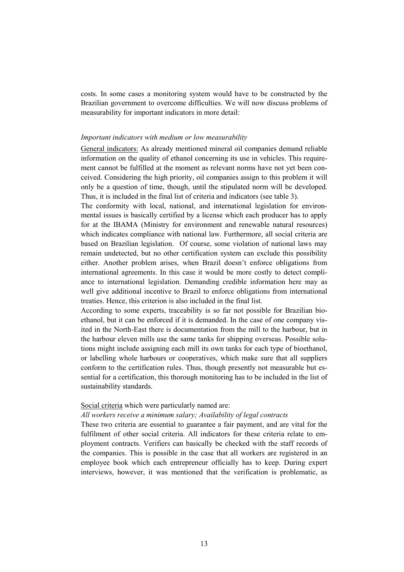costs. In some cases a monitoring system would have to be constructed by the Brazilian government to overcome difficulties. We will now discuss problems of measurability for important indicators in more detail:

### *Important indicators with medium or low measurability*

General indicators: As already mentioned mineral oil companies demand reliable information on the quality of ethanol concerning its use in vehicles. This requirement cannot be fulfilled at the moment as relevant norms have not yet been conceived. Considering the high priority, oil companies assign to this problem it will only be a question of time, though, until the stipulated norm will be developed. Thus, it is included in the final list of criteria and indicators (see table 3).

The conformity with local, national, and international legislation for environmental issues is basically certified by a license which each producer has to apply for at the IBAMA (Ministry for environment and renewable natural resources) which indicates compliance with national law. Furthermore, all social criteria are based on Brazilian legislation. Of course, some violation of national laws may remain undetected, but no other certification system can exclude this possibility either. Another problem arises, when Brazil doesn't enforce obligations from international agreements. In this case it would be more costly to detect compliance to international legislation. Demanding credible information here may as well give additional incentive to Brazil to enforce obligations from international treaties. Hence, this criterion is also included in the final list.

According to some experts, traceability is so far not possible for Brazilian bioethanol, but it can be enforced if it is demanded. In the case of one company visited in the North-East there is documentation from the mill to the harbour, but in the harbour eleven mills use the same tanks for shipping overseas. Possible solutions might include assigning each mill its own tanks for each type of bioethanol, or labelling whole harbours or cooperatives, which make sure that all suppliers conform to the certification rules. Thus, though presently not measurable but essential for a certification, this thorough monitoring has to be included in the list of sustainability standards.

# Social criteria which were particularly named are:

# *All workers receive a minimum salary; Availability of legal contracts*

These two criteria are essential to guarantee a fair payment, and are vital for the fulfilment of other social criteria. All indicators for these criteria relate to employment contracts. Verifiers can basically be checked with the staff records of the companies. This is possible in the case that all workers are registered in an employee book which each entrepreneur officially has to keep. During expert interviews, however, it was mentioned that the verification is problematic, as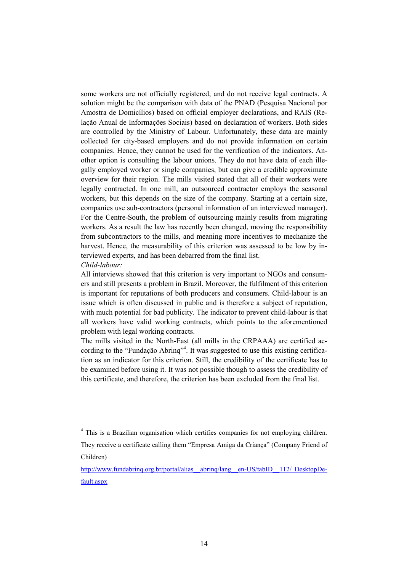some workers are not officially registered, and do not receive legal contracts. A solution might be the comparison with data of the PNAD (Pesquisa Nacional por Amostra de Domicílios) based on official employer declarations, and RAIS (Relação Anual de Informações Sociais) based on declaration of workers. Both sides are controlled by the Ministry of Labour. Unfortunately, these data are mainly collected for city-based employers and do not provide information on certain companies. Hence, they cannot be used for the verification of the indicators. Another option is consulting the labour unions. They do not have data of each illegally employed worker or single companies, but can give a credible approximate overview for their region. The mills visited stated that all of their workers were legally contracted. In one mill, an outsourced contractor employs the seasonal workers, but this depends on the size of the company. Starting at a certain size, companies use sub-contractors (personal information of an interviewed manager). For the Centre-South, the problem of outsourcing mainly results from migrating workers. As a result the law has recently been changed, moving the responsibility from subcontractors to the mills, and meaning more incentives to mechanize the harvest. Hence, the measurability of this criterion was assessed to be low by interviewed experts, and has been debarred from the final list.

#### *Child-labour:*

 $\overline{a}$ 

All interviews showed that this criterion is very important to NGOs and consumers and still presents a problem in Brazil. Moreover, the fulfilment of this criterion is important for reputations of both producers and consumers. Child-labour is an issue which is often discussed in public and is therefore a subject of reputation, with much potential for bad publicity. The indicator to prevent child-labour is that all workers have valid working contracts, which points to the aforementioned problem with legal working contracts.

The mills visited in the North-East (all mills in the CRPAAA) are certified according to the "Fundação Abrinq"<sup>4</sup>. It was suggested to use this existing certification as an indicator for this criterion. Still, the credibility of the certificate has to be examined before using it. It was not possible though to assess the credibility of this certificate, and therefore, the criterion has been excluded from the final list.

<sup>&</sup>lt;sup>4</sup> This is a Brazilian organisation which certifies companies for not employing children.

They receive a certificate calling them "Empresa Amiga da Criança" (Company Friend of Children)

http://www.fundabrinq.org.br/portal/alias\_abrinq/lang\_en-US/tabID\_112/ DesktopDefault.aspx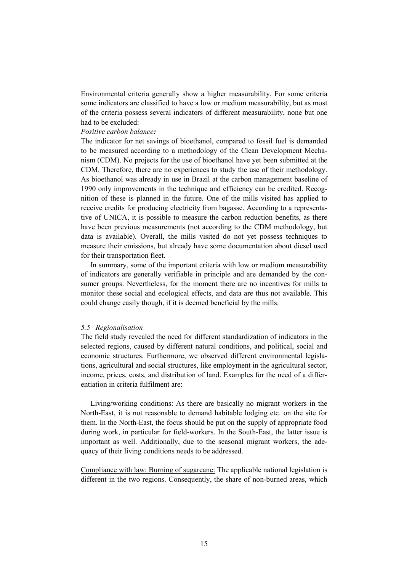Environmental criteria generally show a higher measurability. For some criteria some indicators are classified to have a low or medium measurability, but as most of the criteria possess several indicators of different measurability, none but one had to be excluded:

# *Positive carbon balance:*

The indicator for net savings of bioethanol, compared to fossil fuel is demanded to be measured according to a methodology of the Clean Development Mechanism (CDM). No projects for the use of bioethanol have yet been submitted at the CDM. Therefore, there are no experiences to study the use of their methodology. As bioethanol was already in use in Brazil at the carbon management baseline of 1990 only improvements in the technique and efficiency can be credited. Recognition of these is planned in the future. One of the mills visited has applied to receive credits for producing electricity from bagasse. According to a representative of UNICA, it is possible to measure the carbon reduction benefits, as there have been previous measurements (not according to the CDM methodology, but data is available). Overall, the mills visited do not yet possess techniques to measure their emissions, but already have some documentation about diesel used for their transportation fleet.

In summary, some of the important criteria with low or medium measurability of indicators are generally verifiable in principle and are demanded by the consumer groups. Nevertheless, for the moment there are no incentives for mills to monitor these social and ecological effects, and data are thus not available. This could change easily though, if it is deemed beneficial by the mills.

#### *5.5 Regionalisation*

The field study revealed the need for different standardization of indicators in the selected regions, caused by different natural conditions, and political, social and economic structures. Furthermore, we observed different environmental legislations, agricultural and social structures, like employment in the agricultural sector, income, prices, costs, and distribution of land. Examples for the need of a differentiation in criteria fulfilment are:

Living/working conditions: As there are basically no migrant workers in the North-East, it is not reasonable to demand habitable lodging etc. on the site for them. In the North-East, the focus should be put on the supply of appropriate food during work, in particular for field-workers. In the South-East, the latter issue is important as well. Additionally, due to the seasonal migrant workers, the adequacy of their living conditions needs to be addressed.

Compliance with law: Burning of sugarcane: The applicable national legislation is different in the two regions. Consequently, the share of non-burned areas, which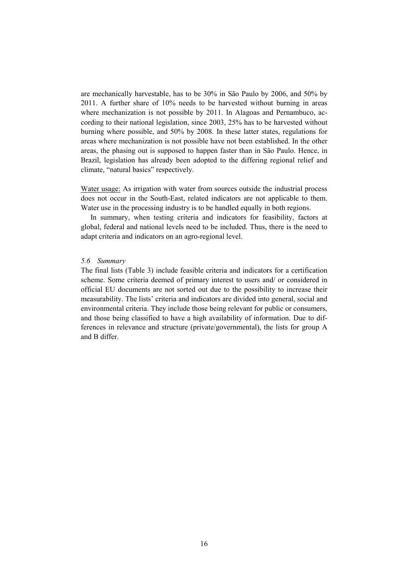are mechanically harvestable, has to be 30% in São Paulo by 2006, and 50% by 2011. A further share of 10% needs to be harvested without burning in areas where mechanization is not possible by 2011. In Alagoas and Pernambuco, according to their national legislation, since 2003, 25% has to be harvested without burning where possible, and 50% by 2008. In these latter states, regulations for areas where mechanization is not possible have not been established. In the other areas, the phasing out is supposed to happen faster than in São Paulo. Hence, in Brazil, legislation has already been adopted to the differing regional relief and climate, "natural basics" respectively.

Water usage: As irrigation with water from sources outside the industrial process does not occur in the South-East, related indicators are not applicable to them. Water use in the processing industry is to be handled equally in both regions.

In summary, when testing criteria and indicators for feasibility, factors at global, federal and national levels need to be included. Thus, there is the need to adapt criteria and indicators on an agro-regional level.

#### *5.6 Summary*

The final lists (Table 3) include feasible criteria and indicators for a certification scheme. Some criteria deemed of primary interest to users and/ or considered in official EU documents are not sorted out due to the possibility to increase their measurability. The lists' criteria and indicators are divided into general, social and environmental criteria. They include those being relevant for public or consumers, and those being classified to have a high availability of information. Due to differences in relevance and structure (private/governmental), the lists for group A and B differ.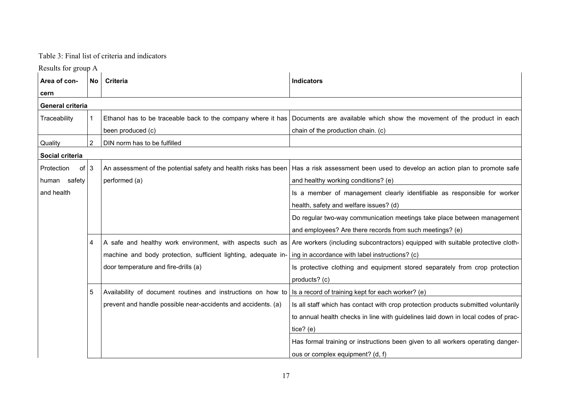# Table 3: Final list of criteria and indicators

Results for group A

| Area of con-               | <b>No</b>      | <b>Criteria</b>                                                 | <b>Indicators</b>                                                                  |
|----------------------------|----------------|-----------------------------------------------------------------|------------------------------------------------------------------------------------|
| cern                       |                |                                                                 |                                                                                    |
| General criteria           |                |                                                                 |                                                                                    |
| Traceability               |                | Ethanol has to be traceable back to the company where it has    | Documents are available which show the movement of the product in each             |
|                            |                | been produced (c)                                               | chain of the production chain. (c)                                                 |
| Quality                    | $\overline{2}$ | DIN norm has to be fulfilled                                    |                                                                                    |
| Social criteria            |                |                                                                 |                                                                                    |
| of $\vert 3$<br>Protection |                | An assessment of the potential safety and health risks has been | Has a risk assessment been used to develop an action plan to promote safe          |
| human safety               |                | performed (a)                                                   | and healthy working conditions? (e)                                                |
| and health                 |                |                                                                 | Is a member of management clearly identifiable as responsible for worker           |
|                            |                |                                                                 | health, safety and welfare issues? (d)                                             |
|                            |                |                                                                 | Do regular two-way communication meetings take place between management            |
|                            |                |                                                                 | and employees? Are there records from such meetings? (e)                           |
|                            | 4              | A safe and healthy work environment, with aspects such as       | Are workers (including subcontractors) equipped with suitable protective cloth-    |
|                            |                | machine and body protection, sufficient lighting, adequate in-  | ing in accordance with label instructions? (c)                                     |
|                            |                | door temperature and fire-drills (a)                            | Is protective clothing and equipment stored separately from crop protection        |
|                            |                |                                                                 | products? (c)                                                                      |
|                            | 5              | Availability of document routines and instructions on how to    | Is a record of training kept for each worker? (e)                                  |
|                            |                | prevent and handle possible near-accidents and accidents. (a)   | Is all staff which has contact with crop protection products submitted voluntarily |
|                            |                |                                                                 | to annual health checks in line with guidelines laid down in local codes of prac-  |
|                            |                |                                                                 | tice? $(e)$                                                                        |
|                            |                |                                                                 | Has formal training or instructions been given to all workers operating danger-    |
|                            |                |                                                                 | ous or complex equipment? (d, f)                                                   |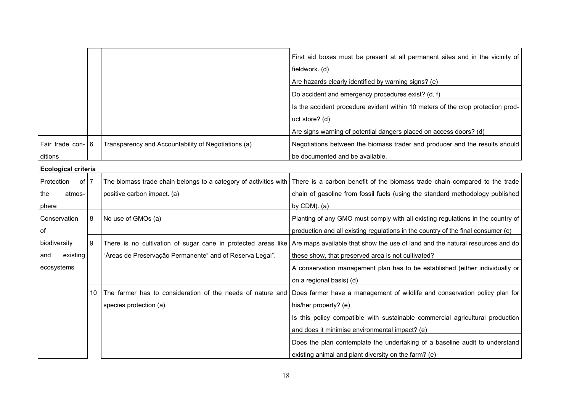|                            |    |                                                          | First aid boxes must be present at all permanent sites and in the vicinity of<br>fieldwork. (d)                                             |
|----------------------------|----|----------------------------------------------------------|---------------------------------------------------------------------------------------------------------------------------------------------|
|                            |    |                                                          | Are hazards clearly identified by warning signs? (e)                                                                                        |
|                            |    |                                                          | Do accident and emergency procedures exist? (d, f)                                                                                          |
|                            |    |                                                          | Is the accident procedure evident within 10 meters of the crop protection prod-                                                             |
|                            |    |                                                          | uct store? (d)                                                                                                                              |
|                            |    |                                                          | Are signs warning of potential dangers placed on access doors? (d)                                                                          |
| Fair trade con- 6          |    | Transparency and Accountability of Negotiations (a)      | Negotiations between the biomass trader and producer and the results should                                                                 |
| ditions                    |    |                                                          | be documented and be available.                                                                                                             |
| <b>Ecological criteria</b> |    |                                                          |                                                                                                                                             |
| Protection<br>of 7         |    |                                                          | The biomass trade chain belongs to a category of activities with There is a carbon benefit of the biomass trade chain compared to the trade |
| the<br>atmos-              |    | positive carbon impact. (a)                              | chain of gasoline from fossil fuels (using the standard methodology published                                                               |
| phere                      |    |                                                          | by $CDM$ ). (a)                                                                                                                             |
| Conservation               | 8  | No use of GMOs (a)                                       | Planting of any GMO must comply with all existing regulations in the country of                                                             |
| of                         |    |                                                          | production and all existing regulations in the country of the final consumer (c)                                                            |
| biodiversity               | -9 |                                                          | There is no cultivation of sugar cane in protected areas like Are maps available that show the use of land and the natural resources and do |
| existing<br>and            |    | "Àreas de Preservação Permanente" and of Reserva Legal". | these show, that preserved area is not cultivated?                                                                                          |
| ecosystems                 |    |                                                          | A conservation management plan has to be established (either individually or                                                                |
|                            |    |                                                          | on a regional basis) (d)                                                                                                                    |
|                            | 10 |                                                          | The farmer has to consideration of the needs of nature and Does farmer have a management of wildlife and conservation policy plan for       |
|                            |    | species protection (a)                                   | his/her property? (e)                                                                                                                       |
|                            |    |                                                          | Is this policy compatible with sustainable commercial agricultural production                                                               |
|                            |    |                                                          | and does it minimise environmental impact? (e)                                                                                              |
|                            |    |                                                          | Does the plan contemplate the undertaking of a baseline audit to understand                                                                 |
|                            |    |                                                          | existing animal and plant diversity on the farm? (e)                                                                                        |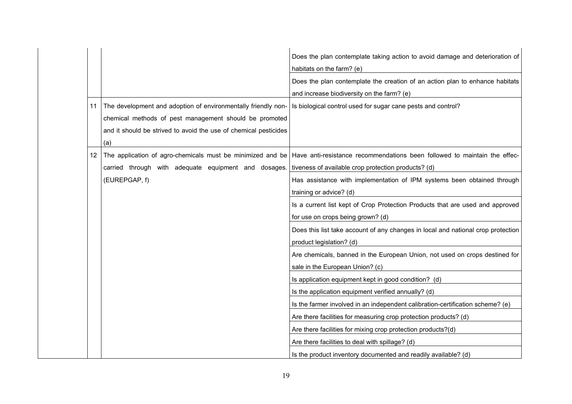|    |                                                                                                                                                                                                    | Does the plan contemplate taking action to avoid damage and deterioration of<br>habitats on the farm? (e)<br>Does the plan contemplate the creation of an action plan to enhance habitats<br>and increase biodiversity on the farm? (e)                                                                                                                                                                                                                                                                                                                                                                                                                                                                                                                                                                                                                                                                                                 |
|----|----------------------------------------------------------------------------------------------------------------------------------------------------------------------------------------------------|-----------------------------------------------------------------------------------------------------------------------------------------------------------------------------------------------------------------------------------------------------------------------------------------------------------------------------------------------------------------------------------------------------------------------------------------------------------------------------------------------------------------------------------------------------------------------------------------------------------------------------------------------------------------------------------------------------------------------------------------------------------------------------------------------------------------------------------------------------------------------------------------------------------------------------------------|
| 11 | The development and adoption of environmentally friendly non-<br>chemical methods of pest management should be promoted<br>and it should be strived to avoid the use of chemical pesticides<br>(a) | Is biological control used for sugar cane pests and control?                                                                                                                                                                                                                                                                                                                                                                                                                                                                                                                                                                                                                                                                                                                                                                                                                                                                            |
| 12 | carried through with adequate equipment and dosages. tiveness of available crop protection products? (d)<br>(EUREPGAP, f)                                                                          | The application of agro-chemicals must be minimized and be Have anti-resistance recommendations been followed to maintain the effec-<br>Has assistance with implementation of IPM systems been obtained through<br>training or advice? (d)<br>Is a current list kept of Crop Protection Products that are used and approved<br>for use on crops being grown? (d)<br>Does this list take account of any changes in local and national crop protection<br>product legislation? (d)<br>Are chemicals, banned in the European Union, not used on crops destined for<br>sale in the European Union? (c)<br>Is application equipment kept in good condition? (d)<br>Is the application equipment verified annually? (d)<br>Is the farmer involved in an independent calibration-certification scheme? (e)<br>Are there facilities for measuring crop protection products? (d)<br>Are there facilities for mixing crop protection products?(d) |
|    |                                                                                                                                                                                                    | Are there facilities to deal with spillage? (d)<br>Is the product inventory documented and readily available? (d)                                                                                                                                                                                                                                                                                                                                                                                                                                                                                                                                                                                                                                                                                                                                                                                                                       |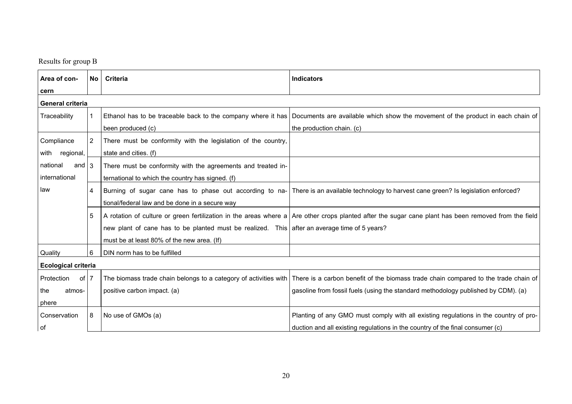Results for group B

| Area of con-               | No                    | Criteria                                                                                     | <b>Indicators</b>                                                                                                                                    |  |
|----------------------------|-----------------------|----------------------------------------------------------------------------------------------|------------------------------------------------------------------------------------------------------------------------------------------------------|--|
| cern                       |                       |                                                                                              |                                                                                                                                                      |  |
| General criteria           |                       |                                                                                              |                                                                                                                                                      |  |
| Traceability               |                       |                                                                                              | Ethanol has to be traceable back to the company where it has   Documents are available which show the movement of the product in each chain of       |  |
|                            |                       | been produced (c)                                                                            | the production chain. (c)                                                                                                                            |  |
| Compliance                 | $\mathbf{2}^{\prime}$ | There must be conformity with the legislation of the country,                                |                                                                                                                                                      |  |
| with regional,             |                       | state and cities. (f)                                                                        |                                                                                                                                                      |  |
| and $3$<br>national        |                       | There must be conformity with the agreements and treated in-                                 |                                                                                                                                                      |  |
| international              |                       | ternational to which the country has signed. (f)                                             |                                                                                                                                                      |  |
| law                        | 4                     |                                                                                              | Burning of sugar cane has to phase out according to na- There is an available technology to harvest cane green? Is legislation enforced?             |  |
|                            |                       | tional/federal law and be done in a secure way                                               |                                                                                                                                                      |  |
|                            | 5                     |                                                                                              | A rotation of culture or green fertilization in the areas where a Are other crops planted after the sugar cane plant has been removed from the field |  |
|                            |                       | new plant of cane has to be planted must be realized. This after an average time of 5 years? |                                                                                                                                                      |  |
|                            |                       | must be at least 80% of the new area. (If)                                                   |                                                                                                                                                      |  |
| Quality                    | 6                     | DIN norm has to be fulfilled                                                                 |                                                                                                                                                      |  |
| <b>Ecological criteria</b> |                       |                                                                                              |                                                                                                                                                      |  |
| Protection<br>of l         | $\overline{7}$        |                                                                                              | The biomass trade chain belongs to a category of activities with There is a carbon benefit of the biomass trade chain compared to the trade chain of |  |
| the<br>atmos-              |                       | positive carbon impact. (a)                                                                  | gasoline from fossil fuels (using the standard methodology published by CDM). (a)                                                                    |  |
| phere                      |                       |                                                                                              |                                                                                                                                                      |  |
| Conservation               | 8                     | No use of GMOs (a)                                                                           | Planting of any GMO must comply with all existing regulations in the country of pro-                                                                 |  |
| of                         |                       |                                                                                              | duction and all existing regulations in the country of the final consumer (c)                                                                        |  |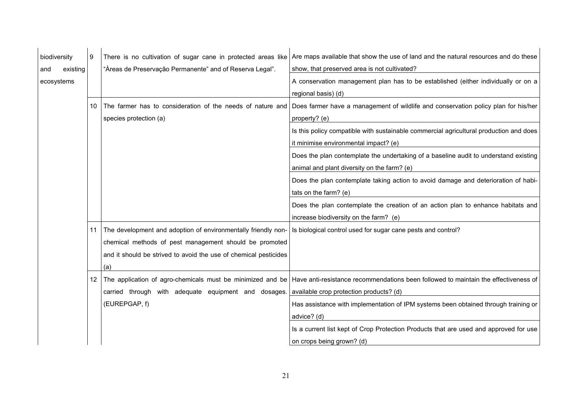| biodiversity |          | 9   | There is no cultivation of sugar cane in protected areas like    | Are maps available that show the use of land and the natural resources and do these                                                            |
|--------------|----------|-----|------------------------------------------------------------------|------------------------------------------------------------------------------------------------------------------------------------------------|
| and          | existing |     | "Àreas de Preservação Permanente" and of Reserva Legal".         | show, that preserved area is not cultivated?                                                                                                   |
| ecosystems   |          |     |                                                                  | A conservation management plan has to be established (either individually or on a                                                              |
|              |          |     |                                                                  | regional basis) (d)                                                                                                                            |
|              |          | 10  | The farmer has to consideration of the needs of nature and       | Does farmer have a management of wildlife and conservation policy plan for his/her                                                             |
|              |          |     | species protection (a)                                           | property? (e)                                                                                                                                  |
|              |          |     |                                                                  | Is this policy compatible with sustainable commercial agricultural production and does                                                         |
|              |          |     |                                                                  | it minimise environmental impact? (e)                                                                                                          |
|              |          |     |                                                                  | Does the plan contemplate the undertaking of a baseline audit to understand existing                                                           |
|              |          |     |                                                                  | animal and plant diversity on the farm? (e)                                                                                                    |
|              |          |     |                                                                  | Does the plan contemplate taking action to avoid damage and deterioration of habi-                                                             |
|              |          |     |                                                                  | tats on the farm? (e)                                                                                                                          |
|              |          |     |                                                                  | Does the plan contemplate the creation of an action plan to enhance habitats and                                                               |
|              |          |     |                                                                  | increase biodiversity on the farm? (e)                                                                                                         |
|              |          | 11  | The development and adoption of environmentally friendly non-    | Is biological control used for sugar cane pests and control?                                                                                   |
|              |          |     |                                                                  |                                                                                                                                                |
|              |          |     | chemical methods of pest management should be promoted           |                                                                                                                                                |
|              |          |     | and it should be strived to avoid the use of chemical pesticides |                                                                                                                                                |
|              |          |     | (a)                                                              |                                                                                                                                                |
|              |          | 12. |                                                                  | The application of agro-chemicals must be minimized and be Have anti-resistance recommendations been followed to maintain the effectiveness of |
|              |          |     | carried through with adequate equipment and dosages.             | available crop protection products? (d)                                                                                                        |
|              |          |     | (EUREPGAP, f)                                                    | Has assistance with implementation of IPM systems been obtained through training or                                                            |
|              |          |     |                                                                  | advice? (d)                                                                                                                                    |
|              |          |     |                                                                  | Is a current list kept of Crop Protection Products that are used and approved for use                                                          |
|              |          |     |                                                                  | on crops being grown? (d)                                                                                                                      |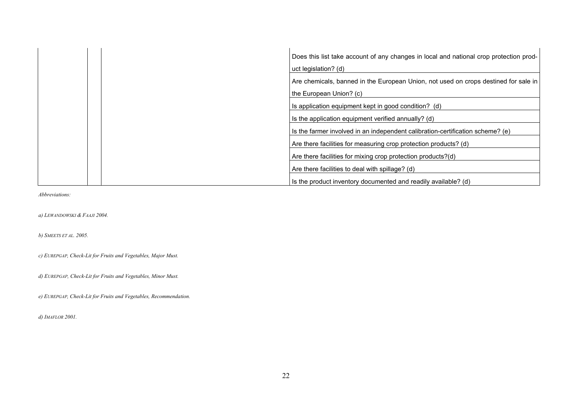| Does this list take account of any changes in local and national crop protection prod- |
|----------------------------------------------------------------------------------------|
| uct legislation? (d)                                                                   |
| Are chemicals, banned in the European Union, not used on crops destined for sale in    |
| the European Union? (c)                                                                |
| Is application equipment kept in good condition? (d)                                   |
| Is the application equipment verified annually? (d)                                    |
| Is the farmer involved in an independent calibration-certification scheme? (e)         |
| Are there facilities for measuring crop protection products? (d)                       |
| Are there facilities for mixing crop protection products?(d)                           |
| Are there facilities to deal with spillage? (d)                                        |
| Is the product inventory documented and readily available? (d)                         |

*Abbreviations:* 

*a) LEWANDOWSKI & FAAJI 2004.* 

*b) SMEETS ET AL. 2005.* 

*c) EUREPGAP, Check-Lit for Fruits and Vegetables, Major Must.* 

*d) EUREPGAP, Check-Lit for Fruits and Vegetables, Minor Must.* 

*e) EUREPGAP, Check-Lit for Fruits and Vegetables, Recommendation.* 

*d) IMAFLOR 2001.*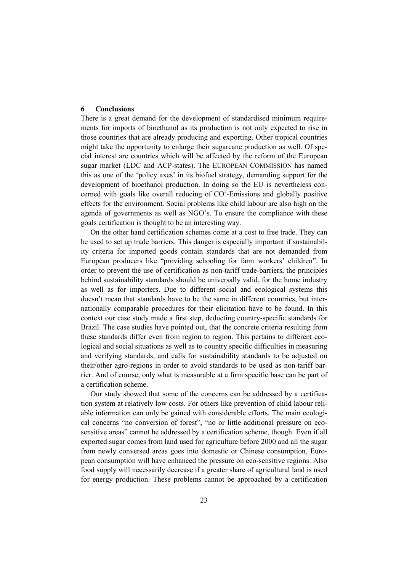# **6 Conclusions**

There is a great demand for the development of standardised minimum requirements for imports of bioethanol as its production is not only expected to rise in those countries that are already producing and exporting. Other tropical countries might take the opportunity to enlarge their sugarcane production as well. Of special interest are countries which will be affected by the reform of the European sugar market (LDC and ACP-states). The EUROPEAN COMMISSION has named this as one of the 'policy axes' in its biofuel strategy, demanding support for the development of bioethanol production. In doing so the EU is nevertheless concerned with goals like overall reducing of  $CO<sup>2</sup>$ -Emissions and globally positive effects for the environment. Social problems like child labour are also high on the agenda of governments as well as NGO's. To ensure the compliance with these goals certification is thought to be an interesting way.

On the other hand certification schemes come at a cost to free trade. They can be used to set up trade barriers. This danger is especially important if sustainability criteria for imported goods contain standards that are not demanded from European producers like "providing schooling for farm workers' children". In order to prevent the use of certification as non-tariff trade-barriers, the principles behind sustainability standards should be universally valid, for the home industry as well as for importers. Due to different social and ecological systems this doesn't mean that standards have to be the same in different countries, but internationally comparable procedures for their elicitation have to be found. In this context our case study made a first step, deducting country-specific standards for Brazil. The case studies have pointed out, that the concrete criteria resulting from these standards differ even from region to region. This pertains to different ecological and social situations as well as to country specific difficulties in measuring and verifying standards, and calls for sustainability standards to be adjusted on their/other agro-regions in order to avoid standards to be used as non-tariff barrier. And of course, only what is measurable at a firm specific base can be part of a certification scheme.

Our study showed that some of the concerns can be addressed by a certification system at relatively low costs. For others like prevention of child labour reliable information can only be gained with considerable efforts. The main ecological concerns "no conversion of forest", "no or little additional pressure on ecosensitive areas" cannot be addressed by a certification scheme, though. Even if all exported sugar comes from land used for agriculture before 2000 and all the sugar from newly conversed areas goes into domestic or Chinese consumption, European consumption will have enhanced the pressure on eco-sensitive regions. Also food supply will necessarily decrease if a greater share of agricultural land is used for energy production. These problems cannot be approached by a certification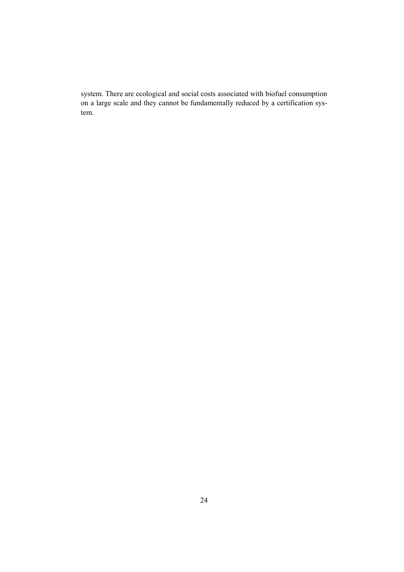system. There are ecological and social costs associated with biofuel consumption on a large scale and they cannot be fundamentally reduced by a certification system.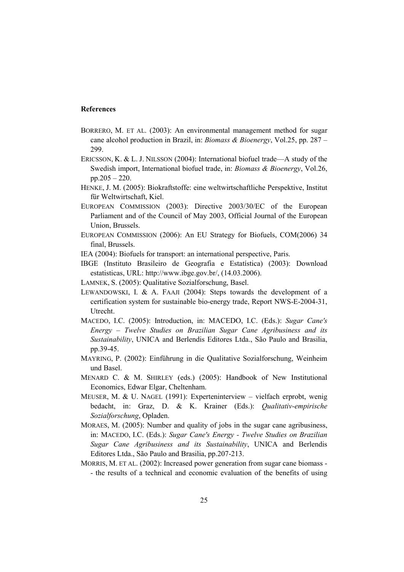# **References**

- BORRERO, M. ET AL. (2003): An environmental management method for sugar cane alcohol production in Brazil, in: *Biomass & Bioenergy*, Vol.25, pp. 287 – 299.
- ERICSSON, K. & L. J. NILSSON (2004): International biofuel trade—A study of the Swedish import, International biofuel trade, in: *Biomass & Bioenergy*, Vol.26, pp.205 – 220.
- HENKE, J. M. (2005): Biokraftstoffe: eine weltwirtschaftliche Perspektive, Institut für Weltwirtschaft, Kiel.
- EUROPEAN COMMISSION (2003): Directive 2003/30/EC of the European Parliament and of the Council of May 2003, Official Journal of the European Union, Brussels.
- EUROPEAN COMMISSION (2006): An EU Strategy for Biofuels, COM(2006) 34 final, Brussels.
- IEA (2004): Biofuels for transport: an international perspective, Paris.
- IBGE (Instituto Brasileiro de Geografia e Estatística) (2003): Download estatisticas, URL: http://www.ibge.gov.br/, (14.03.2006).
- LAMNEK, S. (2005): Qualitative Sozialforschung, Basel.
- LEWANDOWSKI, I. & A. FAAJI (2004): Steps towards the development of a certification system for sustainable bio-energy trade, Report NWS-E-2004-31, Utrecht.
- MACEDO, I.C. (2005): Introduction, in: MACEDO, I.C. (Eds.): *Sugar Cane's Energy – Twelve Studies on Brazilian Sugar Cane Agribusiness and its Sustainability*, UNICA and Berlendis Editores Ltda., São Paulo and Brasilia, pp.39-45.
- MAYRING, P. (2002): Einführung in die Qualitative Sozialforschung, Weinheim und Basel.
- MENARD C. & M. SHIRLEY (eds.) (2005): Handbook of New Institutional Economics, Edwar Elgar, Cheltenham.
- MEUSER, M. & U. NAGEL (1991): Experteninterview vielfach erprobt, wenig bedacht, in: Graz, D. & K. Krainer (Eds.): *Qualitativ-empirische Sozialforschung*, Opladen.
- MORAES, M. (2005): Number and quality of jobs in the sugar cane agribusiness, in: MACEDO, I.C. (Eds.): *Sugar Cane's Energy - Twelve Studies on Brazilian Sugar Cane Agribusiness and its Sustainability*, UNICA and Berlendis Editores Ltda., São Paulo and Brasilia, pp.207-213.
- MORRIS, M. ET AL. (2002): Increased power generation from sugar cane biomass - the results of a technical and economic evaluation of the benefits of using